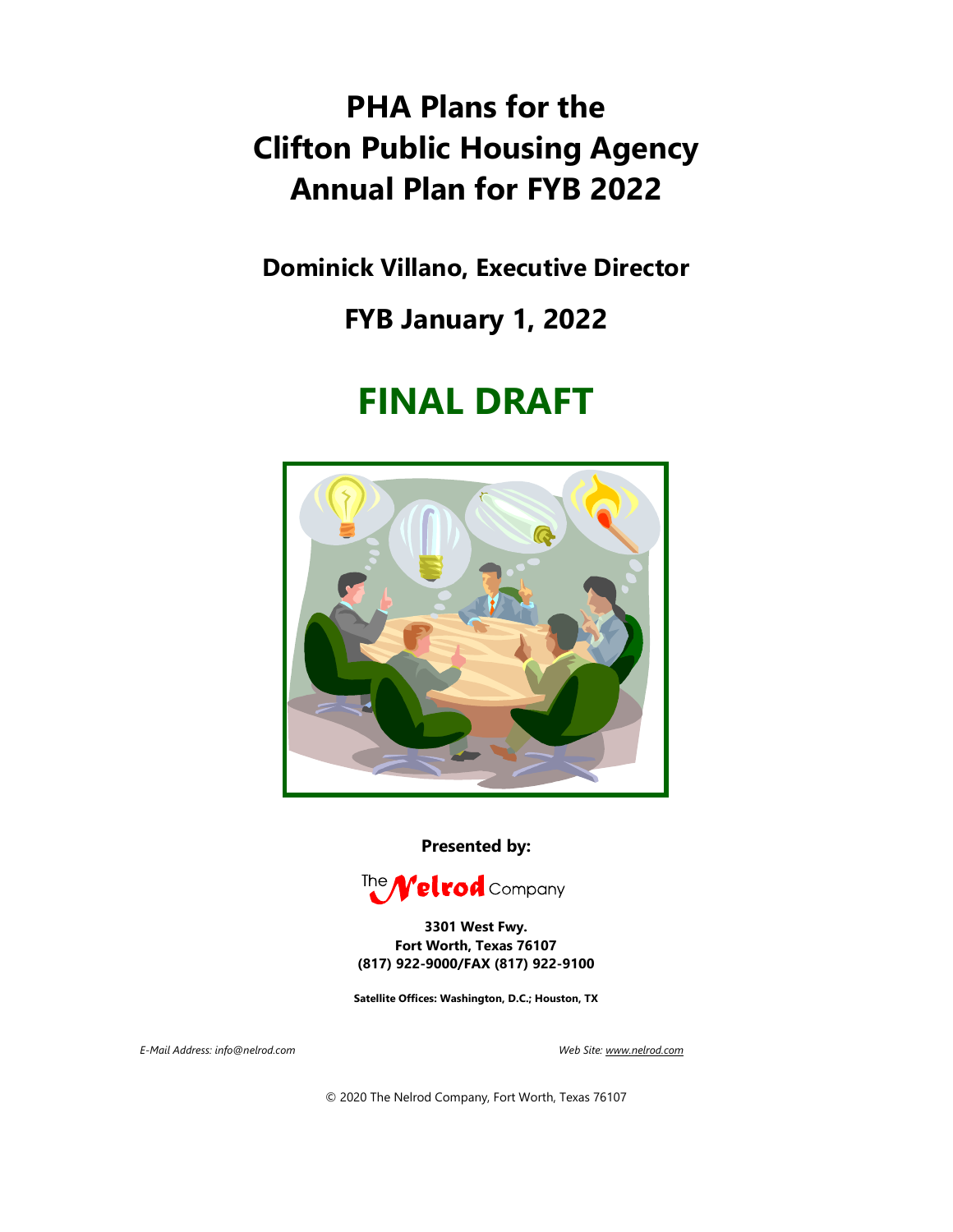# **PHA Plans for the Clifton Public Housing Agency Annual Plan for FYB 2022**

**Dominick Villano, Executive Director**

## **FYB January 1, 2022**

# **FINAL DRAFT**



**Presented by:**



**3301 West Fwy. Fort Worth, Texas 76107 (817) 922-9000/FAX (817) 922-9100**

**Satellite Offices: Washington, D.C.; Houston, TX**

*E-Mail Address: info@nelrod.com Web Site[: www.nelrod.com](http://www.nelrod.com/)* 

© 2020 The Nelrod Company, Fort Worth, Texas 76107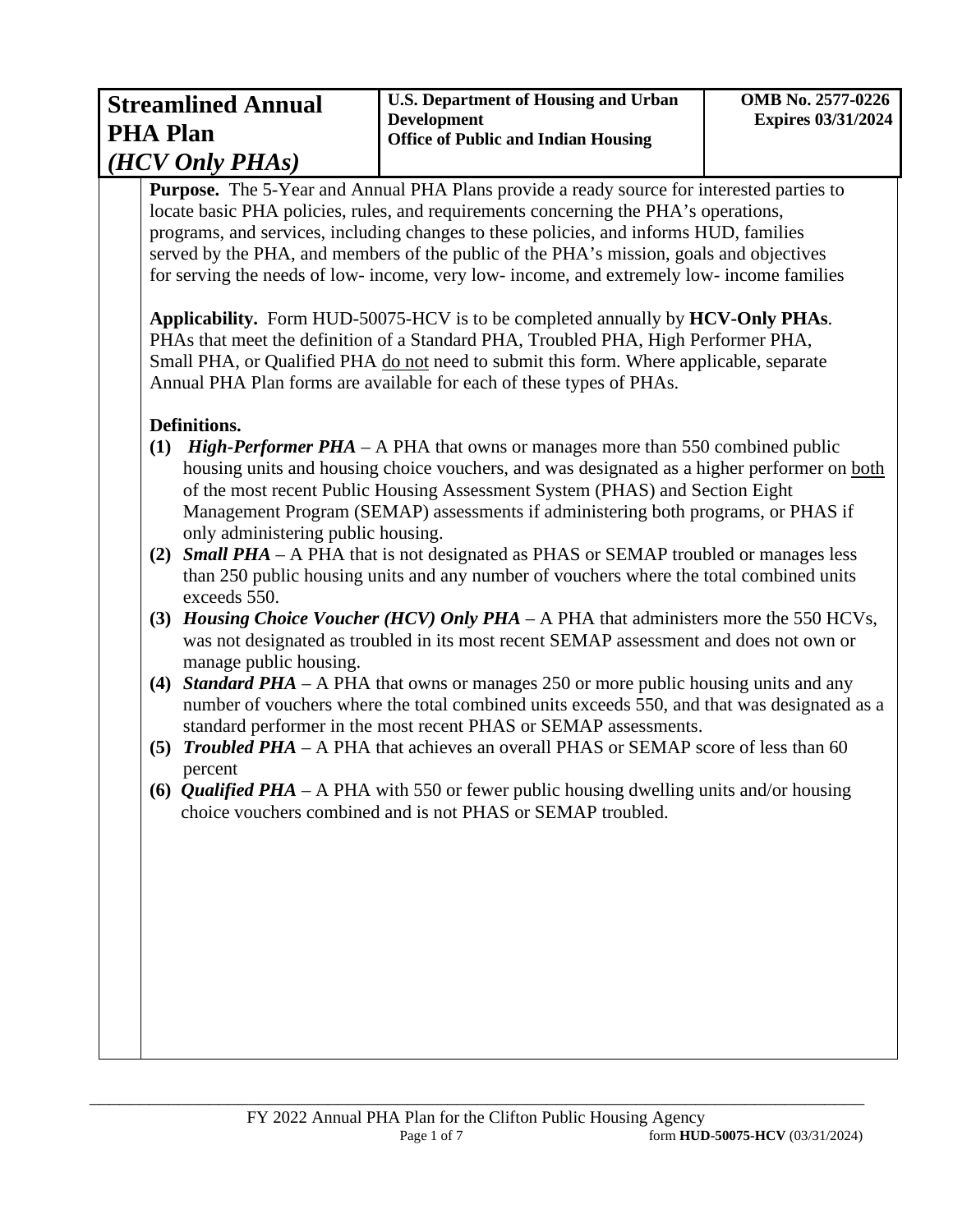| <b>Streamlined Annual</b><br><b>PHA Plan</b> | <b>U.S. Department of Housing and Urban</b><br><b>Development</b><br><b>Office of Public and Indian Housing</b> | <b>OMB No. 2577-0226</b><br><b>Expires 03/31/2024</b> |
|----------------------------------------------|-----------------------------------------------------------------------------------------------------------------|-------------------------------------------------------|
| $(HCV \, Only \, PHAs)$                      |                                                                                                                 |                                                       |

**Purpose.** The 5-Year and Annual PHA Plans provide a ready source for interested parties to locate basic PHA policies, rules, and requirements concerning the PHA's operations, programs, and services, including changes to these policies, and informs HUD, families served by the PHA, and members of the public of the PHA's mission, goals and objectives for serving the needs of low- income, very low- income, and extremely low- income families

**Applicability.** Form HUD-50075-HCV is to be completed annually by **HCV-Only PHAs**. PHAs that meet the definition of a Standard PHA, Troubled PHA, High Performer PHA, Small PHA, or Qualified PHA do not need to submit this form. Where applicable, separate Annual PHA Plan forms are available for each of these types of PHAs.

### **Definitions.**

- **(1)** *High-Performer PHA*  A PHA that owns or manages more than 550 combined public housing units and housing choice vouchers, and was designated as a higher performer on both of the most recent Public Housing Assessment System (PHAS) and Section Eight Management Program (SEMAP) assessments if administering both programs, or PHAS if only administering public housing.
- **(2)** *Small PHA* A PHA that is not designated as PHAS or SEMAP troubled or manages less than 250 public housing units and any number of vouchers where the total combined units exceeds 550.
- **(3)** *Housing Choice Voucher (HCV) Only PHA*  A PHA that administers more the 550 HCVs, was not designated as troubled in its most recent SEMAP assessment and does not own or manage public housing.
- **(4)** *Standard PHA* A PHA that owns or manages 250 or more public housing units and any number of vouchers where the total combined units exceeds 550, and that was designated as a standard performer in the most recent PHAS or SEMAP assessments.
- **(5)** *Troubled PHA*  A PHA that achieves an overall PHAS or SEMAP score of less than 60 percent
- **(6)** *Qualified PHA*  A PHA with 550 or fewer public housing dwelling units and/or housing choice vouchers combined and is not PHAS or SEMAP troubled.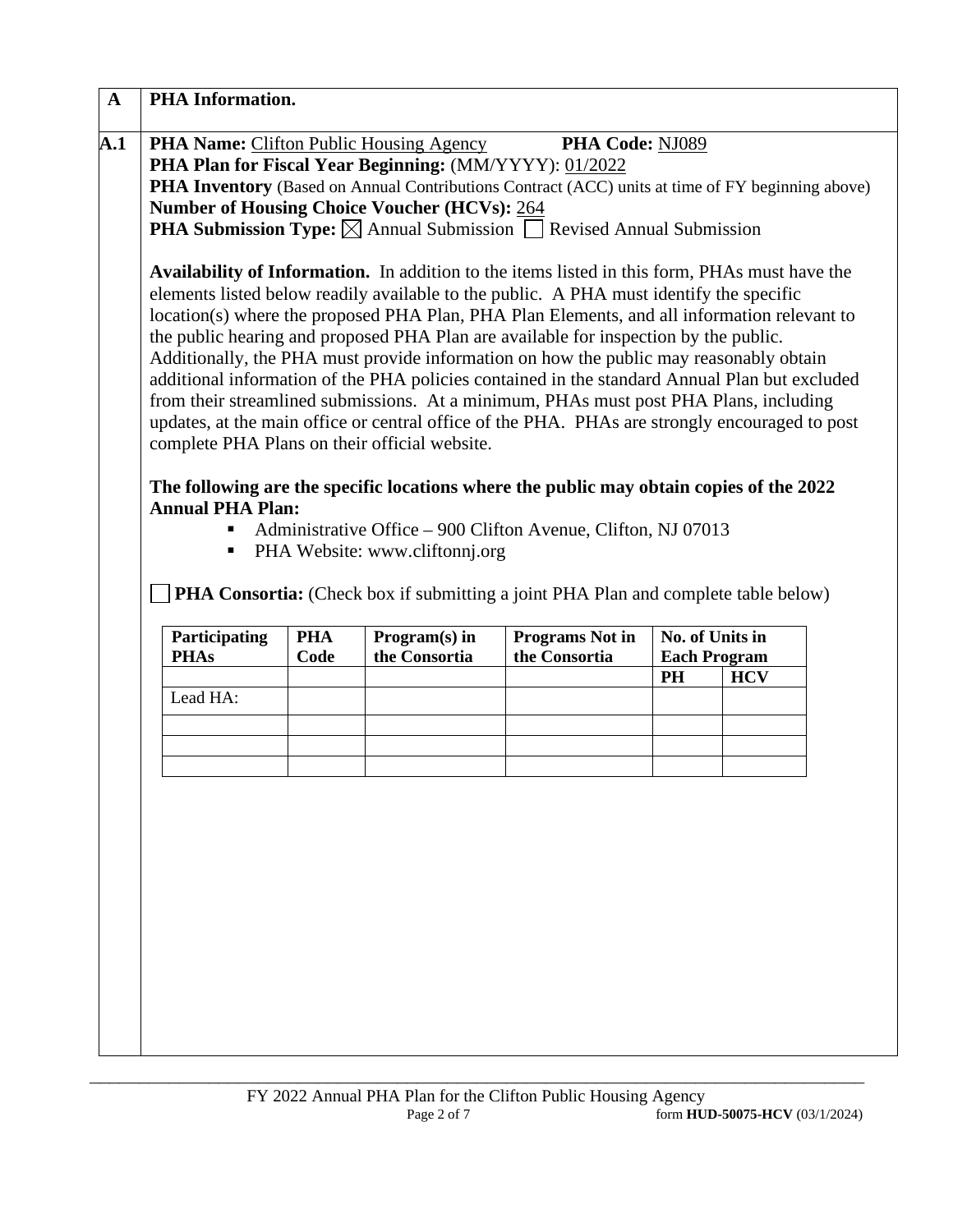|                                                                                      |                                                                                                         |            | <b>PHA Name:</b> Clifton Public Housing Agency | PHA Code: NJ089                                                                                |                     |            |  |
|--------------------------------------------------------------------------------------|---------------------------------------------------------------------------------------------------------|------------|------------------------------------------------|------------------------------------------------------------------------------------------------|---------------------|------------|--|
|                                                                                      | PHA Plan for Fiscal Year Beginning: (MM/YYYY): 01/2022                                                  |            |                                                |                                                                                                |                     |            |  |
|                                                                                      | <b>PHA Inventory</b> (Based on Annual Contributions Contract (ACC) units at time of FY beginning above) |            |                                                |                                                                                                |                     |            |  |
|                                                                                      |                                                                                                         |            | Number of Housing Choice Voucher (HCVs): 264   |                                                                                                |                     |            |  |
|                                                                                      |                                                                                                         |            |                                                | <b>PHA Submission Type:</b> $\boxtimes$ Annual Submission $\Box$ Revised Annual Submission     |                     |            |  |
|                                                                                      |                                                                                                         |            |                                                | Availability of Information. In addition to the items listed in this form, PHAs must have the  |                     |            |  |
|                                                                                      |                                                                                                         |            |                                                | elements listed below readily available to the public. A PHA must identify the specific        |                     |            |  |
|                                                                                      |                                                                                                         |            |                                                | location(s) where the proposed PHA Plan, PHA Plan Elements, and all information relevant to    |                     |            |  |
| the public hearing and proposed PHA Plan are available for inspection by the public. |                                                                                                         |            |                                                |                                                                                                |                     |            |  |
|                                                                                      | Additionally, the PHA must provide information on how the public may reasonably obtain                  |            |                                                |                                                                                                |                     |            |  |
|                                                                                      | additional information of the PHA policies contained in the standard Annual Plan but excluded           |            |                                                |                                                                                                |                     |            |  |
|                                                                                      | from their streamlined submissions. At a minimum, PHAs must post PHA Plans, including                   |            |                                                |                                                                                                |                     |            |  |
|                                                                                      |                                                                                                         |            |                                                | updates, at the main office or central office of the PHA. PHAs are strongly encouraged to post |                     |            |  |
|                                                                                      |                                                                                                         |            | complete PHA Plans on their official website.  |                                                                                                |                     |            |  |
|                                                                                      |                                                                                                         |            |                                                |                                                                                                |                     |            |  |
|                                                                                      |                                                                                                         |            |                                                | The following are the specific locations where the public may obtain copies of the 2022        |                     |            |  |
|                                                                                      | <b>Annual PHA Plan:</b>                                                                                 |            |                                                |                                                                                                |                     |            |  |
|                                                                                      |                                                                                                         |            |                                                |                                                                                                |                     |            |  |
|                                                                                      | п                                                                                                       |            |                                                | Administrative Office – 900 Clifton Avenue, Clifton, NJ 07013                                  |                     |            |  |
|                                                                                      | Ξ                                                                                                       |            | PHA Website: www.cliftonnj.org                 |                                                                                                |                     |            |  |
|                                                                                      |                                                                                                         |            |                                                |                                                                                                |                     |            |  |
|                                                                                      |                                                                                                         |            |                                                | <b>PHA Consortia:</b> (Check box if submitting a joint PHA Plan and complete table below)      |                     |            |  |
|                                                                                      |                                                                                                         | <b>PHA</b> |                                                |                                                                                                | No. of Units in     |            |  |
|                                                                                      | Participating<br><b>PHAs</b>                                                                            | Code       | Program(s) in<br>the Consortia                 | <b>Programs Not in</b><br>the Consortia                                                        | <b>Each Program</b> |            |  |
|                                                                                      |                                                                                                         |            |                                                |                                                                                                | <b>PH</b>           | <b>HCV</b> |  |
|                                                                                      | Lead HA:                                                                                                |            |                                                |                                                                                                |                     |            |  |
|                                                                                      |                                                                                                         |            |                                                |                                                                                                |                     |            |  |
|                                                                                      |                                                                                                         |            |                                                |                                                                                                |                     |            |  |
|                                                                                      |                                                                                                         |            |                                                |                                                                                                |                     |            |  |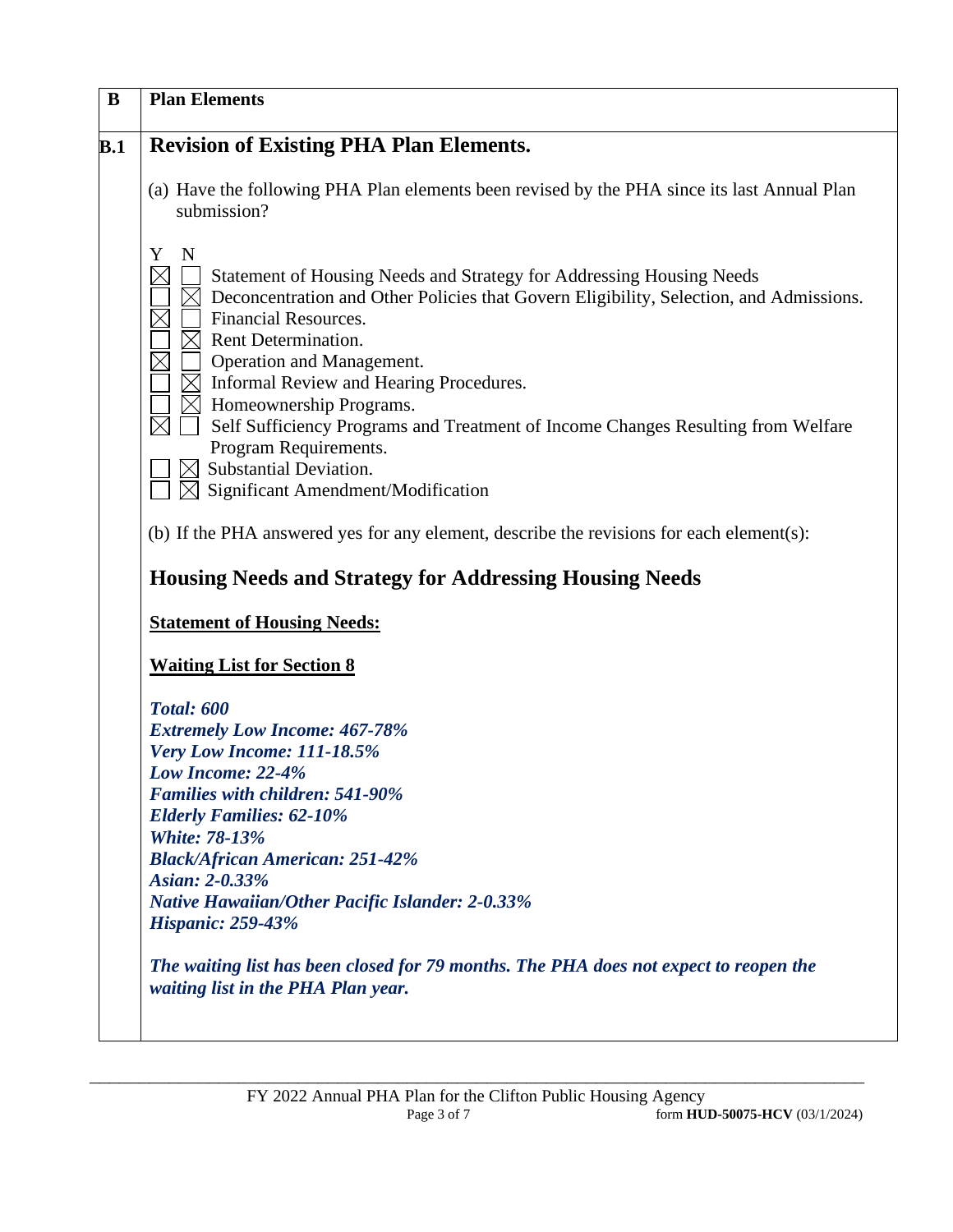| <b>Plan Elements</b>                                                                                                                                                                                                                                                                                                                                                                                                                                                                   |
|----------------------------------------------------------------------------------------------------------------------------------------------------------------------------------------------------------------------------------------------------------------------------------------------------------------------------------------------------------------------------------------------------------------------------------------------------------------------------------------|
| <b>Revision of Existing PHA Plan Elements.</b>                                                                                                                                                                                                                                                                                                                                                                                                                                         |
| (a) Have the following PHA Plan elements been revised by the PHA since its last Annual Plan<br>submission?                                                                                                                                                                                                                                                                                                                                                                             |
| Y<br>N<br>Statement of Housing Needs and Strategy for Addressing Housing Needs<br>Deconcentration and Other Policies that Govern Eligibility, Selection, and Admissions.<br>Financial Resources.<br>Rent Determination.<br>Operation and Management.<br>$\boxtimes$ Informal Review and Hearing Procedures.<br>$\times$ Homeownership Programs.<br>Self Sufficiency Programs and Treatment of Income Changes Resulting from Welfare<br>Program Requirements.<br>Substantial Deviation. |
| Significant Amendment/Modification<br>$\bowtie$<br>(b) If the PHA answered yes for any element, describe the revisions for each element(s):                                                                                                                                                                                                                                                                                                                                            |
| <b>Housing Needs and Strategy for Addressing Housing Needs</b>                                                                                                                                                                                                                                                                                                                                                                                                                         |
| <b>Statement of Housing Needs:</b>                                                                                                                                                                                                                                                                                                                                                                                                                                                     |
| <b>Waiting List for Section 8</b>                                                                                                                                                                                                                                                                                                                                                                                                                                                      |
| <b>Total: 600</b>                                                                                                                                                                                                                                                                                                                                                                                                                                                                      |
| <b>Extremely Low Income: 467-78%</b>                                                                                                                                                                                                                                                                                                                                                                                                                                                   |
| Very Low Income: 111-18.5%<br>Low Income: 22-4%                                                                                                                                                                                                                                                                                                                                                                                                                                        |
| <b>Families with children: 541-90%</b>                                                                                                                                                                                                                                                                                                                                                                                                                                                 |
| <b>Elderly Families: 62-10%</b>                                                                                                                                                                                                                                                                                                                                                                                                                                                        |
| <b>White: 78-13%</b>                                                                                                                                                                                                                                                                                                                                                                                                                                                                   |
| <b>Black/African American: 251-42%</b>                                                                                                                                                                                                                                                                                                                                                                                                                                                 |
| Asian: 2-0.33%                                                                                                                                                                                                                                                                                                                                                                                                                                                                         |
| <b>Native Hawaiian/Other Pacific Islander: 2-0.33%</b>                                                                                                                                                                                                                                                                                                                                                                                                                                 |
| <b>Hispanic: 259-43%</b>                                                                                                                                                                                                                                                                                                                                                                                                                                                               |
| The waiting list has been closed for 79 months. The PHA does not expect to reopen the<br>waiting list in the PHA Plan year.                                                                                                                                                                                                                                                                                                                                                            |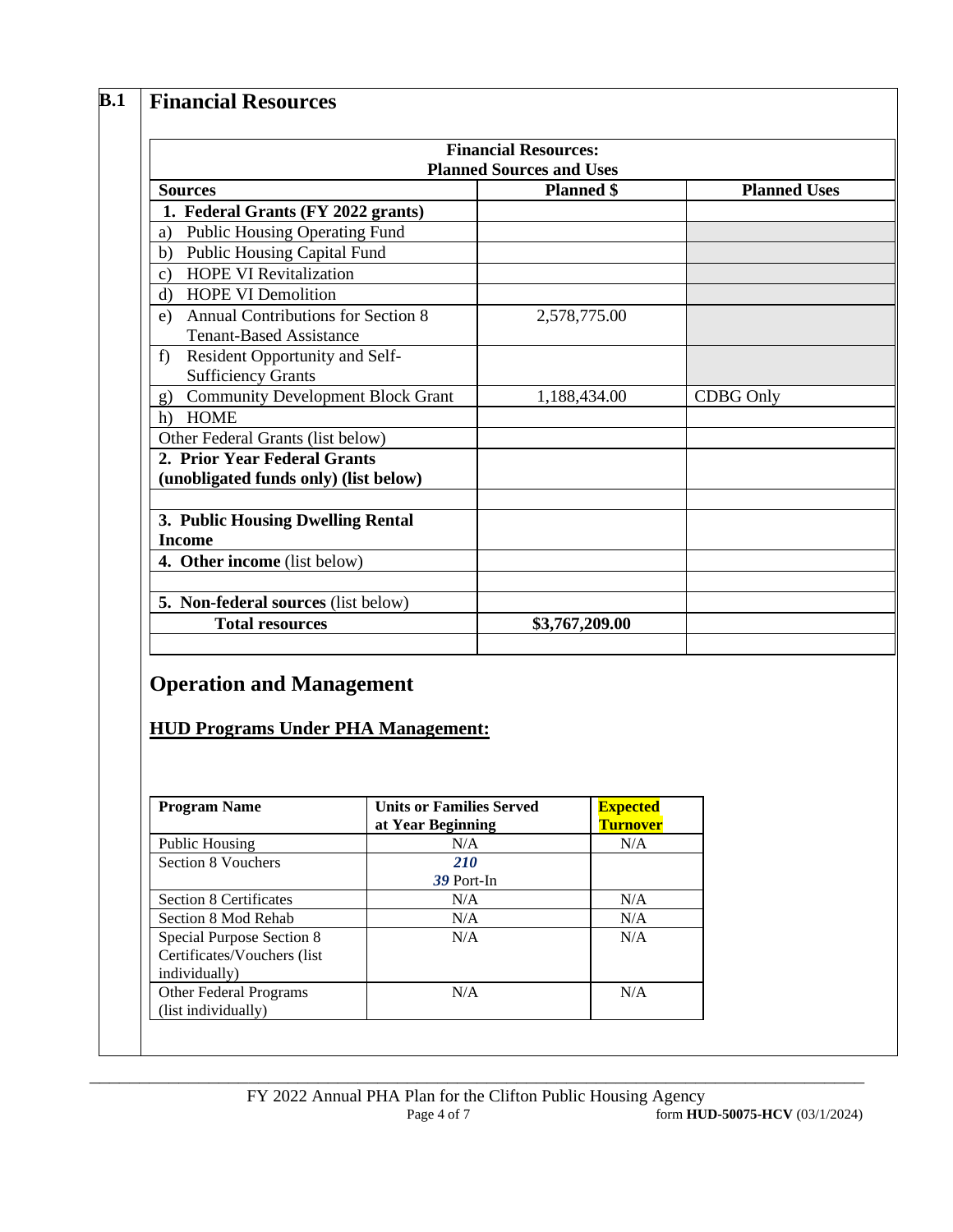## **B.1 Financial Resources**

|                                                                                   | <b>Financial Resources:</b><br><b>Planned Sources and Uses</b> |                     |
|-----------------------------------------------------------------------------------|----------------------------------------------------------------|---------------------|
| <b>Sources</b>                                                                    | <b>Planned</b> \$                                              | <b>Planned Uses</b> |
| 1. Federal Grants (FY 2022 grants)                                                |                                                                |                     |
| <b>Public Housing Operating Fund</b><br>a)                                        |                                                                |                     |
| <b>Public Housing Capital Fund</b><br>b)                                          |                                                                |                     |
| <b>HOPE VI Revitalization</b><br>c)                                               |                                                                |                     |
| <b>HOPE VI Demolition</b><br>d)                                                   |                                                                |                     |
| <b>Annual Contributions for Section 8</b><br>e)<br><b>Tenant-Based Assistance</b> | 2,578,775.00                                                   |                     |
| Resident Opportunity and Self-<br>f<br><b>Sufficiency Grants</b>                  |                                                                |                     |
| <b>Community Development Block Grant</b><br>g)                                    | 1,188,434.00                                                   | <b>CDBG</b> Only    |
| <b>HOME</b><br>h)                                                                 |                                                                |                     |
| Other Federal Grants (list below)                                                 |                                                                |                     |
| 2. Prior Year Federal Grants<br>(unobligated funds only) (list below)             |                                                                |                     |
| 3. Public Housing Dwelling Rental<br><b>Income</b>                                |                                                                |                     |
| 4. Other income (list below)                                                      |                                                                |                     |
|                                                                                   |                                                                |                     |
| 5. Non-federal sources (list below)                                               |                                                                |                     |
| <b>Total resources</b>                                                            | \$3,767,209.00                                                 |                     |

## **Operation and Management**

### **HUD Programs Under PHA Management:**

| <b>Program Name</b>                                                       | <b>Units or Families Served</b><br>at Year Beginning | <b>Expected</b><br><b>Turnover</b> |
|---------------------------------------------------------------------------|------------------------------------------------------|------------------------------------|
| Public Housing                                                            | N/A                                                  | N/A                                |
| Section 8 Vouchers                                                        | <b>210</b><br>39 Port-In                             |                                    |
| <b>Section 8 Certificates</b>                                             | N/A                                                  | N/A                                |
| Section 8 Mod Rehab                                                       | N/A                                                  | N/A                                |
| Special Purpose Section 8<br>Certificates/Vouchers (list<br>individually) | N/A                                                  | N/A                                |
| <b>Other Federal Programs</b><br>(list individually)                      | N/A                                                  | N/A                                |

**\_\_\_\_\_\_\_\_\_\_\_\_\_\_\_\_\_\_\_\_\_\_\_\_\_\_\_\_\_\_\_\_\_\_\_\_\_\_\_\_\_\_\_\_\_\_\_\_\_\_\_\_\_\_\_\_\_\_\_\_\_\_\_\_\_\_\_\_\_\_\_\_\_\_\_\_\_\_**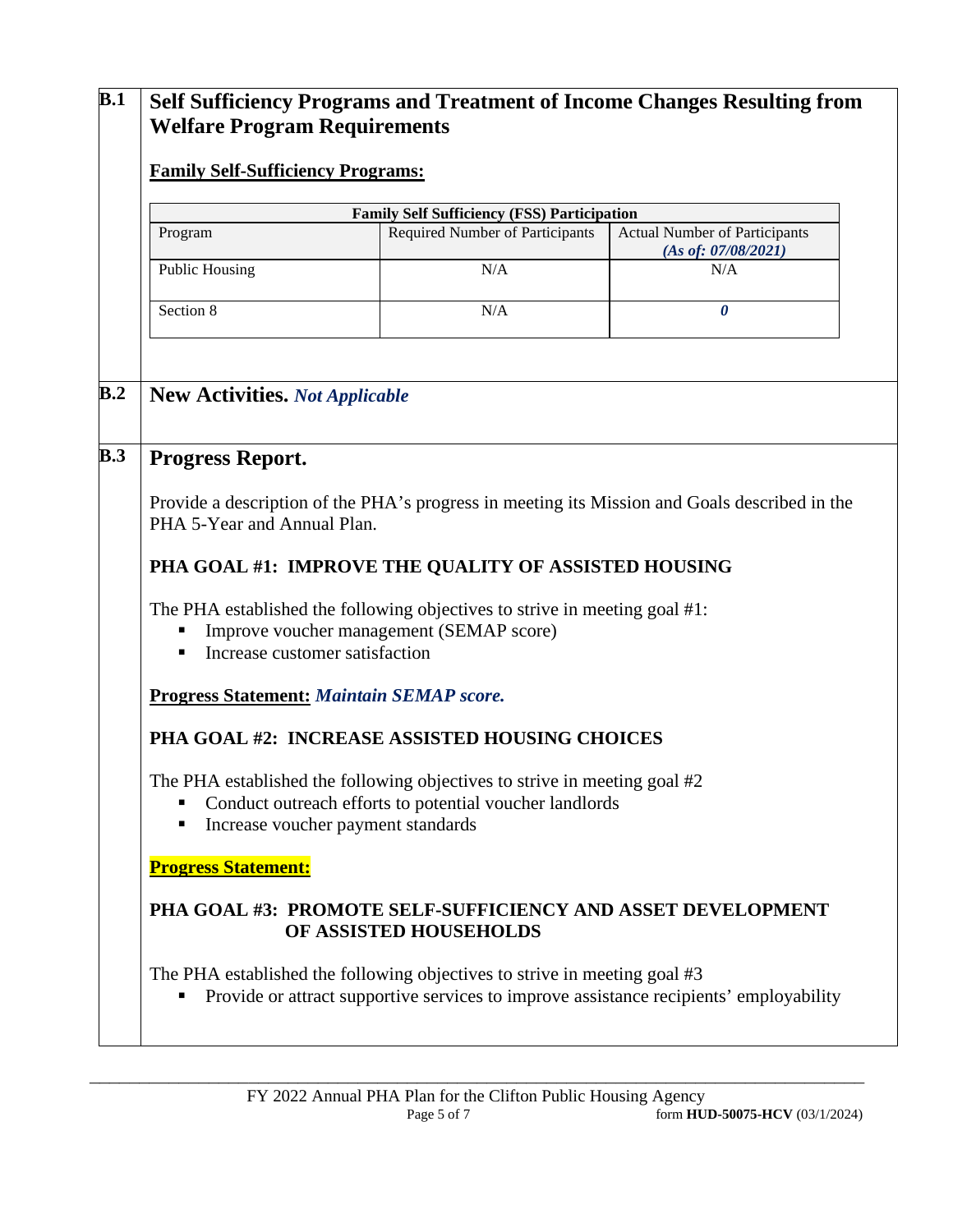## **B.1 Self Sufficiency Programs and Treatment of Income Changes Resulting from Welfare Program Requirements Family Self-Sufficiency Programs: Family Self Sufficiency (FSS) Participation** Program Required Number of Participants Actual Number of Participants *(As of: 07/08/2021)* Public Housing N/A N/A N/A Section 8 N/A *0* **B.2 New Activities.** *Not Applicable* **B.3 Progress Report.** Provide a description of the PHA's progress in meeting its Mission and Goals described in the PHA 5-Year and Annual Plan. **PHA GOAL #1: IMPROVE THE QUALITY OF ASSISTED HOUSING** The PHA established the following objectives to strive in meeting goal #1: **Improve voucher management (SEMAP score)** ■ Increase customer satisfaction **Progress Statement:** *Maintain SEMAP score.* **PHA GOAL #2: INCREASE ASSISTED HOUSING CHOICES** The PHA established the following objectives to strive in meeting goal #2 Conduct outreach efforts to potential voucher landlords ■ Increase voucher payment standards **Progress Statement: PHA GOAL #3: PROMOTE SELF-SUFFICIENCY AND ASSET DEVELOPMENT OF ASSISTED HOUSEHOLDS** The PHA established the following objectives to strive in meeting goal #3 Provide or attract supportive services to improve assistance recipients' employability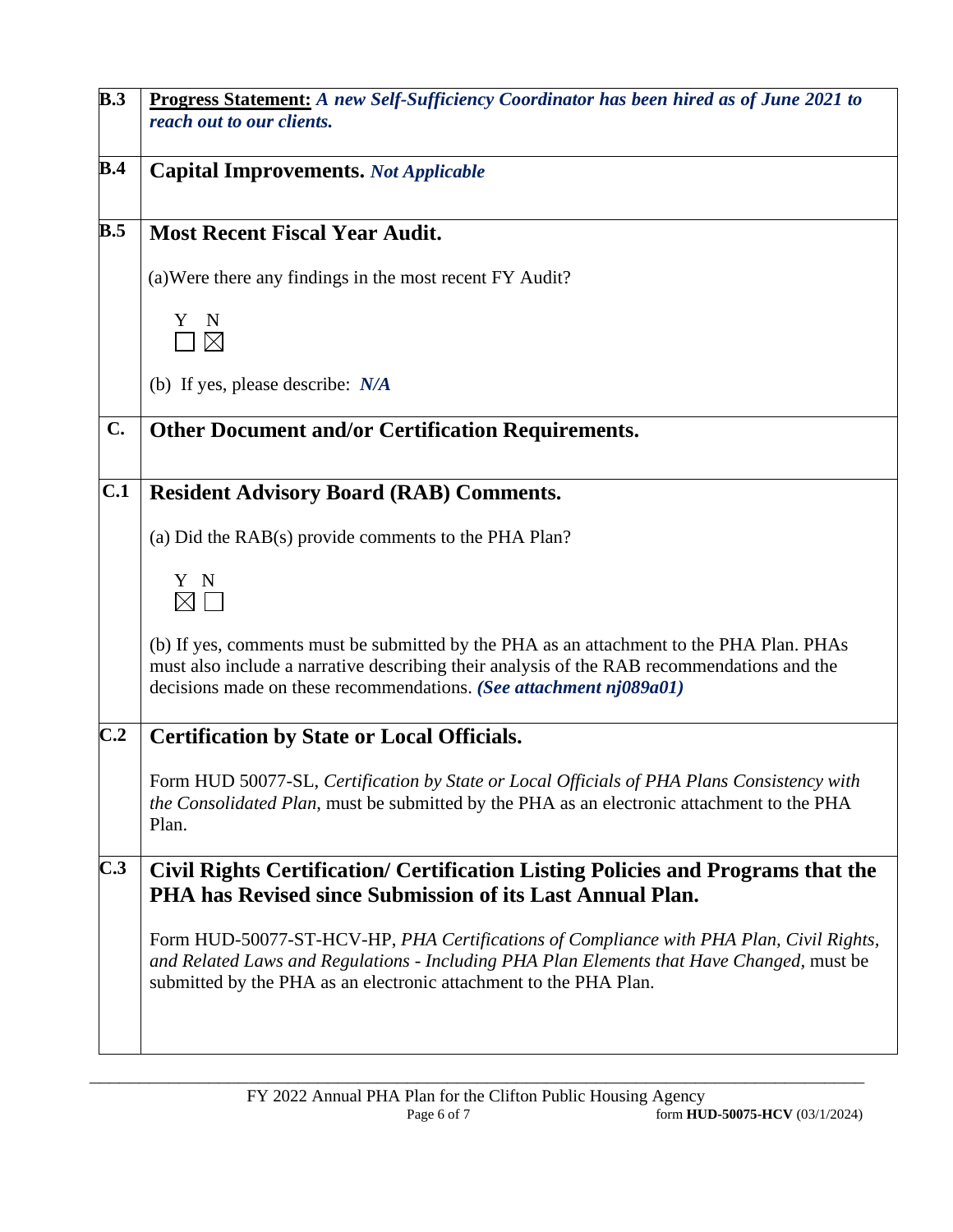| B.3 | Progress Statement: A new Self-Sufficiency Coordinator has been hired as of June 2021 to                                                                                                                                                                     |
|-----|--------------------------------------------------------------------------------------------------------------------------------------------------------------------------------------------------------------------------------------------------------------|
|     | reach out to our clients.                                                                                                                                                                                                                                    |
| B.4 | <b>Capital Improvements.</b> Not Applicable                                                                                                                                                                                                                  |
| B.5 | <b>Most Recent Fiscal Year Audit.</b>                                                                                                                                                                                                                        |
|     | (a) Were there any findings in the most recent FY Audit?                                                                                                                                                                                                     |
|     | Y<br>N<br>$\boxtimes$                                                                                                                                                                                                                                        |
|     | (b) If yes, please describe: $N/A$                                                                                                                                                                                                                           |
| C.  | <b>Other Document and/or Certification Requirements.</b>                                                                                                                                                                                                     |
| C.1 | <b>Resident Advisory Board (RAB) Comments.</b>                                                                                                                                                                                                               |
|     | (a) Did the RAB(s) provide comments to the PHA Plan?                                                                                                                                                                                                         |
|     | Y N<br>$\boxtimes$ $\Box$                                                                                                                                                                                                                                    |
|     | (b) If yes, comments must be submitted by the PHA as an attachment to the PHA Plan. PHAs<br>must also include a narrative describing their analysis of the RAB recommendations and the<br>decisions made on these recommendations. (See attachment nj089a01) |
| C.2 | <b>Certification by State or Local Officials.</b>                                                                                                                                                                                                            |
|     | Form HUD 50077-SL, Certification by State or Local Officials of PHA Plans Consistency with<br>the Consolidated Plan, must be submitted by the PHA as an electronic attachment to the PHA<br>Plan.                                                            |
| C.3 | Civil Rights Certification/ Certification Listing Policies and Programs that the<br>PHA has Revised since Submission of its Last Annual Plan.                                                                                                                |
|     | Form HUD-50077-ST-HCV-HP, PHA Certifications of Compliance with PHA Plan, Civil Rights,<br>and Related Laws and Regulations - Including PHA Plan Elements that Have Changed, must be<br>submitted by the PHA as an electronic attachment to the PHA Plan.    |
|     |                                                                                                                                                                                                                                                              |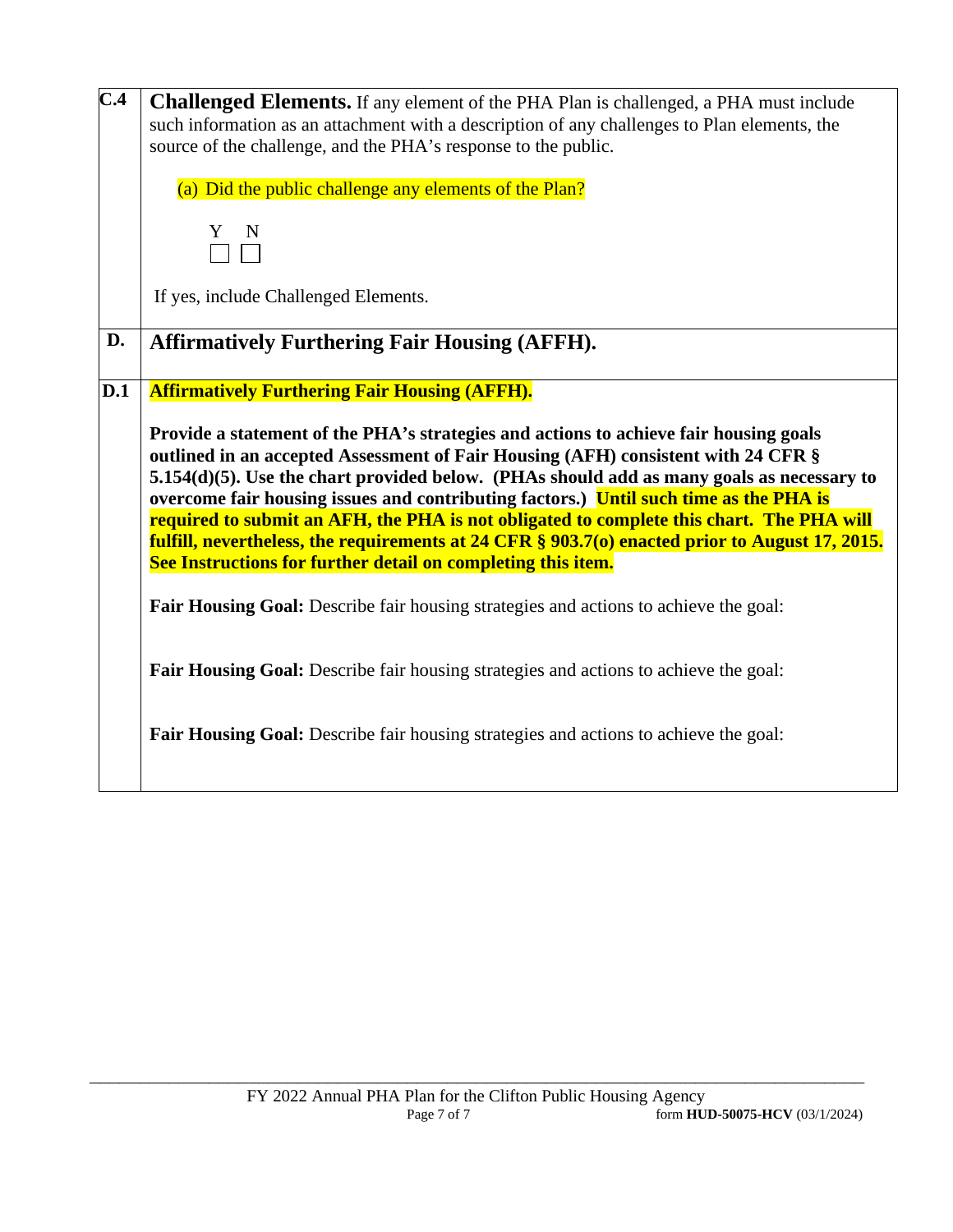| $\overline{C.4}$ | <b>Challenged Elements.</b> If any element of the PHA Plan is challenged, a PHA must include<br>such information as an attachment with a description of any challenges to Plan elements, the<br>source of the challenge, and the PHA's response to the public.                                                                                                                                                                                                                                                                                                                                                                                                                            |
|------------------|-------------------------------------------------------------------------------------------------------------------------------------------------------------------------------------------------------------------------------------------------------------------------------------------------------------------------------------------------------------------------------------------------------------------------------------------------------------------------------------------------------------------------------------------------------------------------------------------------------------------------------------------------------------------------------------------|
|                  | (a) Did the public challenge any elements of the Plan?                                                                                                                                                                                                                                                                                                                                                                                                                                                                                                                                                                                                                                    |
|                  | N<br>Y.                                                                                                                                                                                                                                                                                                                                                                                                                                                                                                                                                                                                                                                                                   |
|                  | If yes, include Challenged Elements.                                                                                                                                                                                                                                                                                                                                                                                                                                                                                                                                                                                                                                                      |
| D.               | <b>Affirmatively Furthering Fair Housing (AFFH).</b>                                                                                                                                                                                                                                                                                                                                                                                                                                                                                                                                                                                                                                      |
| D.1              | <b>Affirmatively Furthering Fair Housing (AFFH).</b><br>Provide a statement of the PHA's strategies and actions to achieve fair housing goals<br>outlined in an accepted Assessment of Fair Housing (AFH) consistent with 24 CFR §<br>$5.154(d)(5)$ . Use the chart provided below. (PHAs should add as many goals as necessary to<br>overcome fair housing issues and contributing factors.) Until such time as the PHA is<br>required to submit an AFH, the PHA is not obligated to complete this chart. The PHA will<br>fulfill, nevertheless, the requirements at 24 CFR § 903.7(o) enacted prior to August 17, 2015.<br>See Instructions for further detail on completing this item. |
|                  | Fair Housing Goal: Describe fair housing strategies and actions to achieve the goal:                                                                                                                                                                                                                                                                                                                                                                                                                                                                                                                                                                                                      |
|                  | Fair Housing Goal: Describe fair housing strategies and actions to achieve the goal:                                                                                                                                                                                                                                                                                                                                                                                                                                                                                                                                                                                                      |
|                  | <b>Fair Housing Goal:</b> Describe fair housing strategies and actions to achieve the goal:                                                                                                                                                                                                                                                                                                                                                                                                                                                                                                                                                                                               |